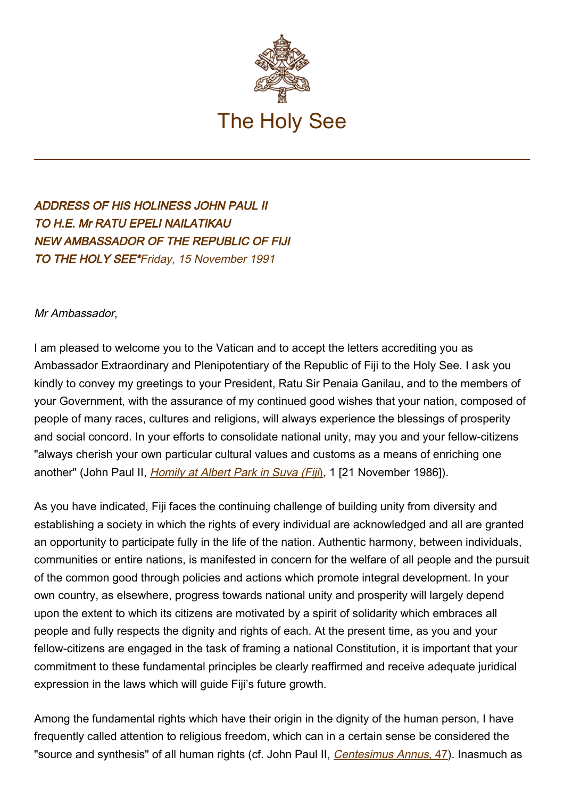

ADDRESS OF HIS HOLINESS JOHN PAUL II TO H.E. Mr RATU EPELI NAILATIKAU NEW AMBASSADOR OF THE REPUBLIC OF FIJI TO THE HOLY SEE\*Friday, 15 November 1991

## Mr Ambassador,

I am pleased to welcome you to the Vatican and to accept the letters accrediting you as Ambassador Extraordinary and Plenipotentiary of the Republic of Fiji to the Holy See. I ask you kindly to convey my greetings to your President, Ratu Sir Penaia Ganilau, and to the members of your Government, with the assurance of my continued good wishes that your nation, composed of people of many races, cultures and religions, will always experience the blessings of prosperity and social concord. In your efforts to consolidate national unity, may you and your fellow-citizens "always cherish your own particular cultural values and customs as a means of enriching one another" (John Paul II, Homily at Albert Park in Suva (Fiji[\)](https://www.vatican.va/content/john-paul-ii/en/homilies/1986/documents/hf_jp-ii_hom_19861121_suva-fiji.html), 1 [21 November 1986]).

As you have indicated, Fiji faces the continuing challenge of building unity from diversity and establishing a society in which the rights of every individual are acknowledged and all are granted an opportunity to participate fully in the life of the nation. Authentic harmony, between individuals, communities or entire nations, is manifested in concern for the welfare of all people and the pursuit of the common good through policies and actions which promote integral development. In your own country, as elsewhere, progress towards national unity and prosperity will largely depend upon the extent to which its citizens are motivated by a spirit of solidarity which embraces all people and fully respects the dignity and rights of each. At the present time, as you and your fellow-citizens are engaged in the task of framing a national Constitution, it is important that your commitment to these fundamental principles be clearly reaffirmed and receive adequate juridical expression in the laws which will guide Fiji's future growth.

Among the fundamental rights which have their origin in the dignity of the human person, I have frequently called attention to religious freedom, which can in a certain sense be considered the "source and synthesis" of all human rights (cf. John Paul II, Centesimus Annus[, 47](http://www.vatican.va/edocs/ENG0214/__P7.HTM)). Inasmuch as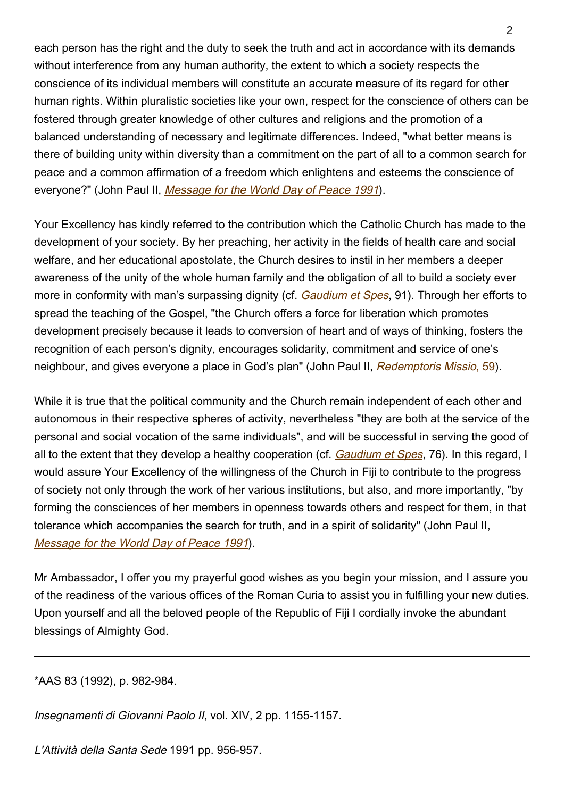each person has the right and the duty to seek the truth and act in accordance with its demands without interference from any human authority, the extent to which a society respects the conscience of its individual members will constitute an accurate measure of its regard for other human rights. Within pluralistic societies like your own, respect for the conscience of others can be fostered through greater knowledge of other cultures and religions and the promotion of a balanced understanding of necessary and legitimate differences. Indeed, "what better means is there of building unity within diversity than a commitment on the part of all to a common search for peace and a common affirmation of a freedom which enlightens and esteems the conscience of everyone?" (John Paul II, [Message for the World Day of Peace 1991](https://www.vatican.va/content/john-paul-ii/en/messages/peace/documents/hf_jp-ii_mes_08121990_xxiv-world-day-for-peace.html)).

Your Excellency has kindly referred to the contribution which the Catholic Church has made to the development of your society. By her preaching, her activity in the fields of health care and social welfare, and her educational apostolate, the Church desires to instil in her members a deeper awareness of the unity of the whole human family and the obligation of all to build a society ever more in conformity with man's surpassing dignity (cf. [Gaudium et Spes](http://localhost/archive/hist_councils/ii_vatican_council/documents/vat-ii_cons_19651207_gaudium-et-spes_en.html), 91). Through her efforts to spread the teaching of the Gospel, "the Church offers a force for liberation which promotes development precisely because it leads to conversion of heart and of ways of thinking, fosters the recognition of each person's dignity, encourages solidarity, commitment and service of one's neighbour, and gives everyone a place in God's plan" (John Paul II, Redemptoris Missio[, 59](http://www.vatican.va/edocs/ENG0219/__P7.HTM)).

While it is true that the political community and the Church remain independent of each other and autonomous in their respective spheres of activity, nevertheless "they are both at the service of the personal and social vocation of the same individuals", and will be successful in serving the good of all to the extent that they develop a healthy cooperation (cf. *[Gaudium et Spes](http://localhost/archive/hist_councils/ii_vatican_council/documents/vat-ii_cons_19651207_gaudium-et-spes_en.html)*, 76). In this regard, I would assure Your Excellency of the willingness of the Church in Fiji to contribute to the progress of society not only through the work of her various institutions, but also, and more importantly, "by forming the consciences of her members in openness towards others and respect for them, in that tolerance which accompanies the search for truth, and in a spirit of solidarity" (John Paul II, [Message for the World Day of Peace 1991](https://www.vatican.va/content/john-paul-ii/en/messages/peace/documents/hf_jp-ii_mes_08121990_xxiv-world-day-for-peace.html)).

Mr Ambassador, I offer you my prayerful good wishes as you begin your mission, and I assure you of the readiness of the various offices of the Roman Curia to assist you in fulfilling your new duties. Upon yourself and all the beloved people of the Republic of Fiji I cordially invoke the abundant blessings of Almighty God.

\*AAS 83 (1992), p. 982-984.

Insegnamenti di Giovanni Paolo II, vol. XIV, 2 pp. 1155-1157.

L'Attività della Santa Sede 1991 pp. 956-957.